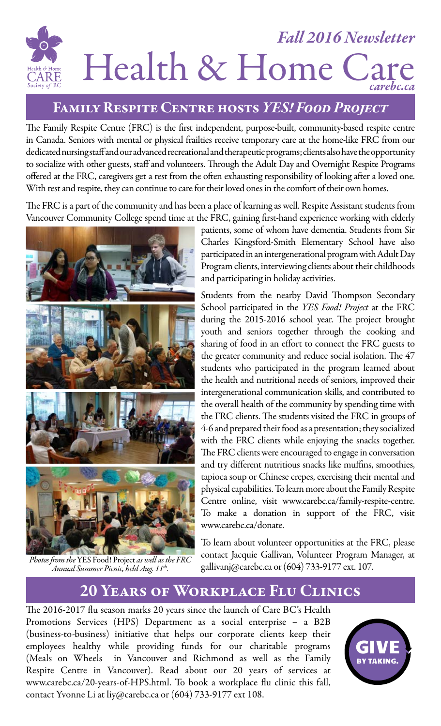### *Fall 2016 Newsletter*  Health & Home Ca 'ARE *carebc.ca*

#### Family Respite Centre hosts *YES! Food Project*

The Family Respite Centre (FRC) is the first independent, purpose-built, community-based respite centre in Canada. Seniors with mental or physical frailties receive temporary care at the home-like FRC from our dedicated nursing staff and our advanced recreational and therapeutic programs; clients also have the opportunity to socialize with other guests, staff and volunteers. Through the Adult Day and Overnight Respite Programs offered at the FRC, caregivers get a rest from the often exhausting responsibility of looking after a loved one. With rest and respite, they can continue to care for their loved ones in the comfort of their own homes.

The FRC is a part of the community and has been a place of learning as well. Respite Assistant students from Vancouver Community College spend time at the FRC, gaining first-hand experience working with elderly



*Photos from the* YES Food! Project *as well as the FRC Annual Summer Picnic, held Aug. 11th.*

patients, some of whom have dementia. Students from Sir Charles Kingsford-Smith Elementary School have also participated in an intergenerational program with Adult Day Program clients, interviewing clients about their childhoods and participating in holiday activities.

Students from the nearby David Thompson Secondary School participated in the *YES Food! Project* at the FRC during the 2015-2016 school year. The project brought youth and seniors together through the cooking and sharing of food in an effort to connect the FRC guests to the greater community and reduce social isolation. The 47 students who participated in the program learned about the health and nutritional needs of seniors, improved their intergenerational communication skills, and contributed to the overall health of the community by spending time with the FRC clients. The students visited the FRC in groups of 4-6 and prepared their food as a presentation; they socialized with the FRC clients while enjoying the snacks together. The FRC clients were encouraged to engage in conversation and try different nutritious snacks like muffins, smoothies, tapioca soup or Chinese crepes, exercising their mental and physical capabilities. To learn more about the Family Respite Centre online, visit www.carebc.ca/family-respite-centre. To make a donation in support of the FRC, visit www.carebc.ca/donate.

To learn about volunteer opportunities at the FRC, please contact Jacquie Gallivan, Volunteer Program Manager, at gallivanj@carebc.ca or (604) 733-9177 ext. 107.

### 20 Years of Workplace Flu Clinics

The 2016-2017 flu season marks 20 years since the launch of Care BC's Health Promotions Services (HPS) Department as a social enterprise – a B2B (business-to-business) initiative that helps our corporate clients keep their employees healthy while providing funds for our charitable programs (Meals on Wheels in Vancouver and Richmond as well as the Family Respite Centre in Vancouver). Read about our 20 years of services at www.carebc.ca/20-years-of-HPS.html. To book a workplace flu clinic this fall, contact Yvonne Li at liy@carebc.ca or (604) 733-9177 ext 108.

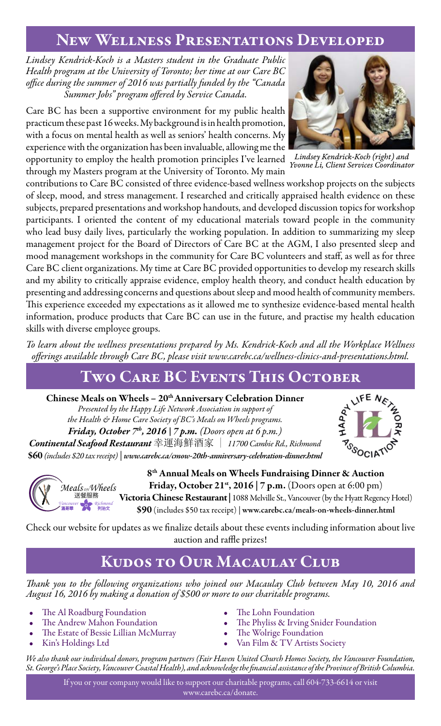#### New Wellness Presentations Developed

*Lindsey Kendrick-Koch is a Masters student in the Graduate Public Health program at the University of Toronto; her time at our Care BC office during the summer of 2016 was partially funded by the "Canada Summer Jobs" program offered by Service Canada.*

Care BC has been a supportive environment for my public health practicum these past 16 weeks. My background is in health promotion, with a focus on mental health as well as seniors' health concerns. My experience with the organization has been invaluable, allowing me the opportunity to employ the health promotion principles I've learned through my Masters program at the University of Toronto. My main

contributions to Care BC consisted of three evidence-based wellness workshop projects on the subjects of sleep, mood, and stress management. I researched and critically appraised health evidence on these subjects, prepared presentations and workshop handouts, and developed discussion topics for workshop participants. I oriented the content of my educational materials toward people in the community who lead busy daily lives, particularly the working population. In addition to summarizing my sleep management project for the Board of Directors of Care BC at the AGM, I also presented sleep and mood management workshops in the community for Care BC volunteers and staff, as well as for three Care BC client organizations. My time at Care BC provided opportunities to develop my research skills and my ability to critically appraise evidence, employ health theory, and conduct health education by presenting and addressing concerns and questions about sleep and mood health of community members. This experience exceeded my expectations as it allowed me to synthesize evidence-based mental health information, produce products that Care BC can use in the future, and practise my health education skills with diverse employee groups.

*To learn about the wellness presentations prepared by Ms. Kendrick-Koch and all the Workplace Wellness offerings available through Care BC, please visit www.carebc.ca/wellness-clinics-and-presentations.html.*

### Two Care BC Events This October

Chinese Meals on Wheels - 20<sup>th</sup> Anniversary Celebration Dinner

*Presented by the Happy Life Network Association in support of the Health & Home Care Society of BC's Meals on Wheels programs. Friday, October 7th, 2016 | 7 p.m. (Doors open at 6 p.m.) Continental Seafood Restaurant* 幸運海鮮酒家 | *11700 Cambie Rd., Richmond* \$60 *(includes \$20 tax receipt) | www.carebc.ca/cmow-20th-anniversary-celebration-dinner.html*





8th Annual Meals on Wheels Fundraising Dinner & Auction Friday, October 21<sup>st</sup>, 2016 | 7 p.m. (Doors open at 6:00 pm) Victoria Chinese Restaurant | 1088 Melville St., Vancouver (by the Hyatt Regency Hotel) \$90 (includes \$50 tax receipt) | www.carebc.ca/meals-on-wheels-dinner.html

Check our website for updates as we finalize details about these events including information about live auction and raffle prizes!

## Kudos to Our Macaulay Club

*Thank you to the following organizations who joined our Macaulay Club between May 10, 2016 and August 16, 2016 by making a donation of \$500 or more to our charitable programs.*

- The Al Roadburg Foundation
- The Andrew Mahon Foundation
- The Estate of Bessie Lillian McMurray
- Kin's Holdings Ltd
- The Lohn Foundation
- The Phyliss & Irving Snider Foundation
- The Wolrige Foundation
- Van Film & TV Artists Society

*We also thank our individual donors, program partners (Fair Haven United Church Homes Society, the Vancouver Foundation, St. George's Place Society, Vancouver Coastal Health), and acknowledge the financial assistance of the Province of British Columbia.*

If you or your company would like to support our charitable programs, call 604-733-6614 or visit www.carebc.ca/donate.



*Lindsey Kendrick-Koch (right) and Yvonne Li, Client Services Coordinator*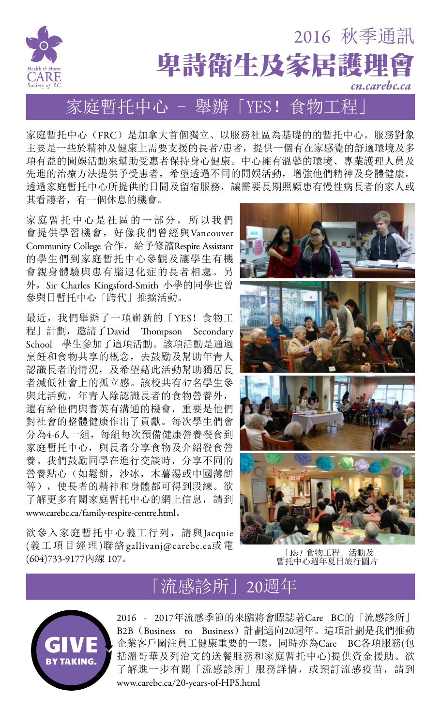

家庭暫托中心(FRC)是加拿大首個獨立、以服務社區為基礎的的暫托中心。服務對象 主要是一些於精神及健康上需要支援的長者/患者,提供一個有在家感覺的舒適環境及多 項有益的閒娛活動來幫助受惠者保持身心健康。中心擁有溫馨的環境、專業護理人員及 先進的治療方法提供予受惠者,希望透過不同的閒娛活動,增強他們精神及身體健康。 透過家庭暫托中心所提供的日間及留宿服務,讓需要長期照顧患有慢性病長者的家人或 其看護者,有一個休息的機會。

家庭暫托中心是社區的一部分,所以我們 會提供學習機會, 好像我們曾經與Vancouver Community College 合作,給予修讀Respite Assistant 的學生們到家庭暫托中心參觀及讓學生有機 會親身體驗與患有腦退化症的長者相處。另 外, Sir Charles Kingsford-Smith 小學的同學也曾 參與日暫托中心「跨代」推擴活動。

最近,我們舉辦了一項嶄新的「YES!食物工 程」計劃,邀請了David Thompson Secondary School 學生參加了這項活動。該項活動是通過 烹飪和食物共享的概念,去鼓勵及幫助年青人 認識長者的情況,及希望藉此活動幫助獨居長 者減低社會上的孤立感。該校共有47名學生參 與此活動,年青人除認識長者的食物營養外, 還有給他們與耆英有溝通的機會,重要是他們 對社會的整體健康作出了貢獻。每次學生們會 分為4-6人一組,每組每次預備健康營養餐食到 家庭暫托中心, 與長者分享食物及介紹餐食營 養。我們鼓勵同學在進行交談時,分享不同的 營養點心(如鬆餅,沙冰,木薯湯或中國薄餅 等),使長者的精神和身體都可得到段練。欲 了解更多有關家庭暫托中心的網上信息,請到 www.carebc.ca/family-respite-centre.html。

欲參入家庭暫托中心義工行列,請與Jacquie (義工項目經理)聯絡gallivanj@carebc.ca或電 (604)733-9177內線 107。



「*Yes !* 食物工程」活動及 暫托中心週年夏日旅行圖片

# 「流感診所」20週年



2016 - 2017年流感季節的來臨將會瞟誌著Care BC的「流感診所」 B2B(Business to Business)計劃邁向20週年。這項計劃是我們推動 企業客戶關注員工健康重要的一環,同時亦為Care BC各項服務(包 括溫哥華及列治文的送餐服務和家庭暫托中心)提供資金援助。欲 了解進一步有關「流感診所」服務詳情,或預訂流感疫苗,請到 www.carebc.ca/20-years-of-HPS.html